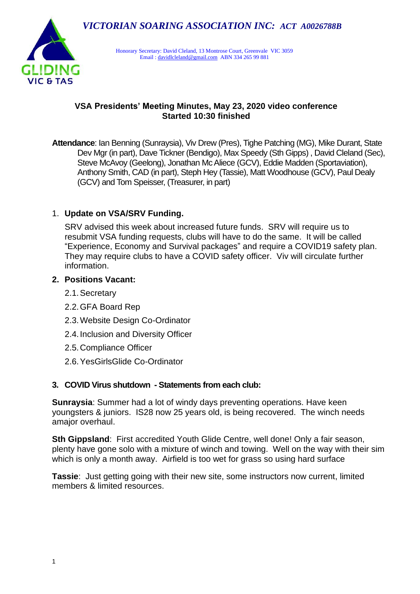

Honorary Secretary: David Cleland, 13 Montrose Court, Greenvale VIC 3059 Email [: davidlcleland@gmail.com](mailto:davidlcleland@gmail.com) ABN 334 265 99 881

### **VSA Presidents' Meeting Minutes, May 23, 2020 video conference Started 10:30 finished**

**Attendance**: Ian Benning (Sunraysia), Viv Drew (Pres), Tighe Patching (MG), Mike Durant, State Dev Mgr (in part), Dave Tickner (Bendigo), Max Speedy (Sth Gipps) , David Cleland (Sec), Steve McAvoy (Geelong), Jonathan McAliece (GCV), Eddie Madden (Sportaviation), Anthony Smith, CAD (in part), Steph Hey (Tassie), Matt Woodhouse (GCV), Paul Dealy (GCV) and Tom Speisser, (Treasurer, in part)

## 1. **Update on VSA/SRV Funding.**

SRV advised this week about increased future funds. SRV will require us to resubmit VSA funding requests, clubs will have to do the same. It will be called "Experience, Economy and Survival packages" and require a COVID19 safety plan. They may require clubs to have a COVID safety officer. Viv will circulate further information.

### **2. Positions Vacant:**

- 2.1.Secretary
- 2.2.GFA Board Rep
- 2.3.Website Design Co-Ordinator
- 2.4.Inclusion and Diversity Officer
- 2.5.Compliance Officer
- 2.6.YesGirlsGlide Co-Ordinator

## **3. COVID Virus shutdown - Statements from each club:**

**Sunraysia**: Summer had a lot of windy days preventing operations. Have keen youngsters & juniors. IS28 now 25 years old, is being recovered. The winch needs amajor overhaul.

**Sth Gippsland:** First accredited Youth Glide Centre, well done! Only a fair season, plenty have gone solo with a mixture of winch and towing. Well on the way with their sim which is only a month away. Airfield is too wet for grass so using hard surface

**Tassie**: Just getting going with their new site, some instructors now current, limited members & limited resources.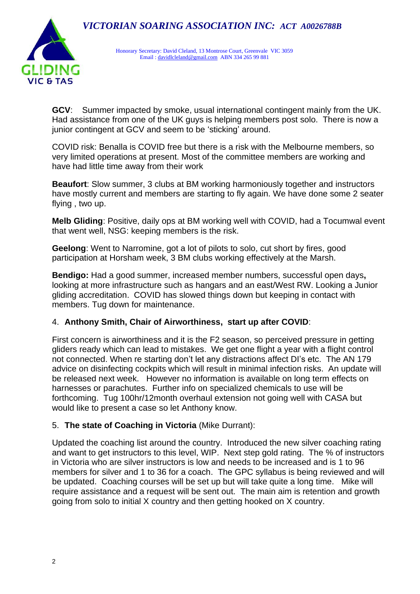# *VICTORIAN SOARING ASSOCIATION INC: ACT A0026788B*



Honorary Secretary: David Cleland, 13 Montrose Court, Greenvale VIC 3059 Email [: davidlcleland@gmail.com](mailto:davidlcleland@gmail.com) ABN 334 265 99 881

**GCV**: Summer impacted by smoke, usual international contingent mainly from the UK. Had assistance from one of the UK guys is helping members post solo. There is now a junior contingent at GCV and seem to be 'sticking' around.

COVID risk: Benalla is COVID free but there is a risk with the Melbourne members, so very limited operations at present. Most of the committee members are working and have had little time away from their work

**Beaufort**: Slow summer, 3 clubs at BM working harmoniously together and instructors have mostly current and members are starting to fly again. We have done some 2 seater flying , two up.

**Melb Gliding**: Positive, daily ops at BM working well with COVID, had a Tocumwal event that went well, NSG: keeping members is the risk.

**Geelong**: Went to Narromine, got a lot of pilots to solo, cut short by fires, good participation at Horsham week, 3 BM clubs working effectively at the Marsh.

**Bendigo:** Had a good summer, increased member numbers, successful open days**,**  looking at more infrastructure such as hangars and an east/West RW. Looking a Junior gliding accreditation. COVID has slowed things down but keeping in contact with members. Tug down for maintenance.

#### 4. **Anthony Smith, Chair of Airworthiness, start up after COVID**:

First concern is airworthiness and it is the F2 season, so perceived pressure in getting gliders ready which can lead to mistakes. We get one flight a year with a flight control not connected. When re starting don't let any distractions affect DI's etc. The AN 179 advice on disinfecting cockpits which will result in minimal infection risks. An update will be released next week. However no information is available on long term effects on harnesses or parachutes. Further info on specialized chemicals to use will be forthcoming. Tug 100hr/12month overhaul extension not going well with CASA but would like to present a case so let Anthony know.

#### 5. **The state of Coaching in Victoria** (Mike Durrant):

Updated the coaching list around the country. Introduced the new silver coaching rating and want to get instructors to this level, WIP. Next step gold rating. The % of instructors in Victoria who are silver instructors is low and needs to be increased and is 1 to 96 members for silver and 1 to 36 for a coach. The GPC syllabus is being reviewed and will be updated. Coaching courses will be set up but will take quite a long time. Mike will require assistance and a request will be sent out. The main aim is retention and growth going from solo to initial X country and then getting hooked on X country.